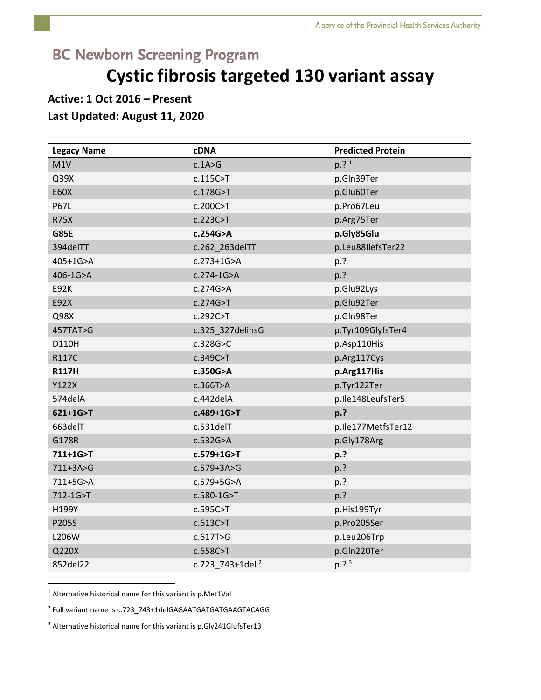# **BC Newborn Screening Program**

# **Cystic fibrosis targeted 130 variant assay**

## **Active: 1 Oct 2016 – Present**

### **Last Updated: August 11, 2020**

| <b>Legacy Name</b> | <b>cDNA</b>                 | <b>Predicted Protein</b> |
|--------------------|-----------------------------|--------------------------|
| M1V                | c.1A>G                      | $p.$ ? $1$               |
| Q39X               | c.115C > T                  | p.Gln39Ter               |
| <b>E60X</b>        | c.178G > T                  | p.Glu60Ter               |
| <b>P67L</b>        | c.200C > T                  | p.Pro67Leu               |
| <b>R75X</b>        | c.223C>T                    | p.Arg75Ter               |
| <b>G85E</b>        | c.254G>A                    | p.Gly85Glu               |
| 394delTT           | c.262_263delTT              | p.Leu88IlefsTer22        |
| 405+1G>A           | $c.273 + 1G > A$            | p.?                      |
| 406-1G>A           | $c.274-1G > A$              | p.?                      |
| <b>E92K</b>        | c.274G>A                    | p.Glu92Lys               |
| E92X               | c.274G > T                  | p.Glu92Ter               |
| Q98X               | c.292C > T                  | p.Gln98Ter               |
| 457TAT>G           | c.325_327delinsG            | p.Tyr109GlyfsTer4        |
| D110H              | c.328G > C                  | p.Asp110His              |
| <b>R117C</b>       | c.349C > T                  | p.Arg117Cys              |
| <b>R117H</b>       | c.350G>A                    | p.Arg117His              |
| Y122X              | c.366T>A                    | p.Tyr122Ter              |
| 574delA            | c.442delA                   | p.Ile148LeufsTer5        |
| $621+1G > T$       | c.489+1G>T                  | p.?                      |
| 663delT            | $c.531$ del $T$             | p.lle177MetfsTer12       |
| G178R              | c.532G>A                    | p.Gly178Arg              |
| 711+1G>T           | c.579+1G>T                  | p.?                      |
| 711+3A>G           | $c.579 + 3A > G$            | p.?                      |
| 711+5G>A           | c.579+5G>A                  | p.?                      |
| 712-1G>T           | $c.580 - 1G > T$            | p.?                      |
| H199Y              | c.595C > T                  | p.His199Tyr              |
| P205S              | c.613C > T                  | p.Pro205Ser              |
| L206W              | c.617T>G                    | p.Leu206Trp              |
| Q220X              | c.658C>T                    | p.Gln220Ter              |
| 852del22           | c.723 743+1del <sup>2</sup> | $p.^3$                   |

<sup>1</sup> Alternative historical name for this variant is p.Met1Val

 $\overline{a}$ 

<sup>2</sup> Full variant name is c.723\_743+1delGAGAATGATGATGAAGTACAGG

<sup>3</sup> Alternative historical name for this variant is p.Gly241GlufsTer13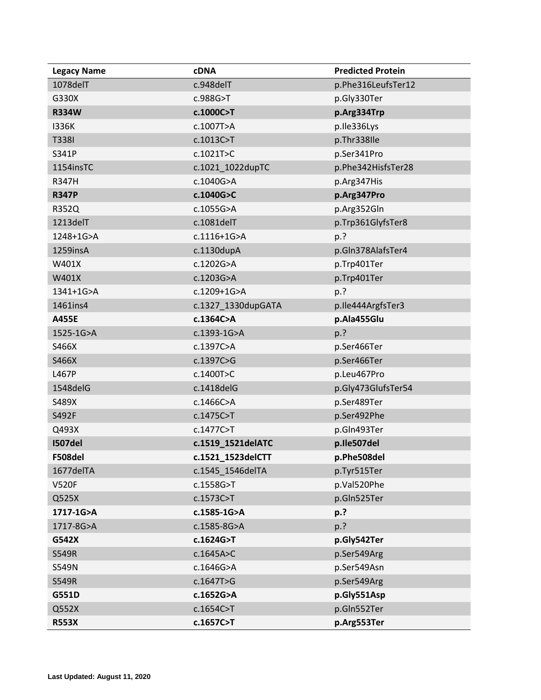| <b>Legacy Name</b> | <b>cDNA</b>        | <b>Predicted Protein</b> |
|--------------------|--------------------|--------------------------|
| 1078delT           | c.948delT          | p.Phe316LeufsTer12       |
| G330X              | c.988G>T           | p.Gly330Ter              |
| <b>R334W</b>       | c.1000C>T          | p.Arg334Trp              |
| 1336K              | c.1007T>A          | p.Ile336Lys              |
| <b>T338I</b>       | $c.1013C>$ T       | p.Thr338Ile              |
| S341P              | c.1021T>C          | p.Ser341Pro              |
| 1154insTC          | c.1021_1022dupTC   | p.Phe342HisfsTer28       |
| <b>R347H</b>       | c.1040G>A          | p.Arg347His              |
| <b>R347P</b>       | c.1040G>C          | p.Arg347Pro              |
| R352Q              | c.1055G>A          | p.Arg352Gln              |
| 1213delT           | c.1081delT         | p.Trp361GlyfsTer8        |
| 1248+1G>A          | c.1116+1G>A        | p.?                      |
| 1259insA           | $c.1130$ dupA      | p.Gln378AlafsTer4        |
| W401X              | c.1202G>A          | p.Trp401Ter              |
| W401X              | c.1203G>A          | p.Trp401Ter              |
| 1341+1G>A          | c.1209+1G>A        | p.?                      |
| 1461ins4           | c.1327_1330dupGATA | p.lle444ArgfsTer3        |
| A455E              | c.1364C>A          | p.Ala455Glu              |
| 1525-1G>A          | c.1393-1G>A        | p.?                      |
| S466X              | c.1397C>A          | p.Ser466Ter              |
| S466X              | c.1397C>G          | p.Ser466Ter              |
| L467P              | c.1400T>C          | p.Leu467Pro              |
| 1548delG           | c.1418delG         | p.Gly473GlufsTer54       |
| S489X              | c.1466C>A          | p.Ser489Ter              |
| S492F              | c.1475C>T          | p.Ser492Phe              |
| Q493X              | c.1477C>T          | p.Gln493Ter              |
| <b>I507del</b>     | c.1519_1521delATC  | p.Ile507del              |
| F508del            | c.1521_1523delCTT  | p.Phe508del              |
| 1677delTA          | c.1545 1546delTA   | p.Tyr515Ter              |
| <b>V520F</b>       | c.1558G>T          | p.Val520Phe              |
| Q525X              | c.1573C>T          | p.Gln525Ter              |
| 1717-1G>A          | c.1585-1G>A        | p.?                      |
| 1717-8G>A          | c.1585-8G>A        | p.?                      |
| G542X              | c.1624G>T          | p.Gly542Ter              |
| S549R              | c.1645A>C          | p.Ser549Arg              |
| S549N              | c.1646G>A          | p.Ser549Asn              |
| <b>S549R</b>       | c.1647T>G          | p.Ser549Arg              |
| G551D              | c.1652G>A          | p.Gly551Asp              |
| Q552X              | $c.1654C>$ T       | p.Gln552Ter              |
| <b>R553X</b>       | c.1657C>T          | p.Arg553Ter              |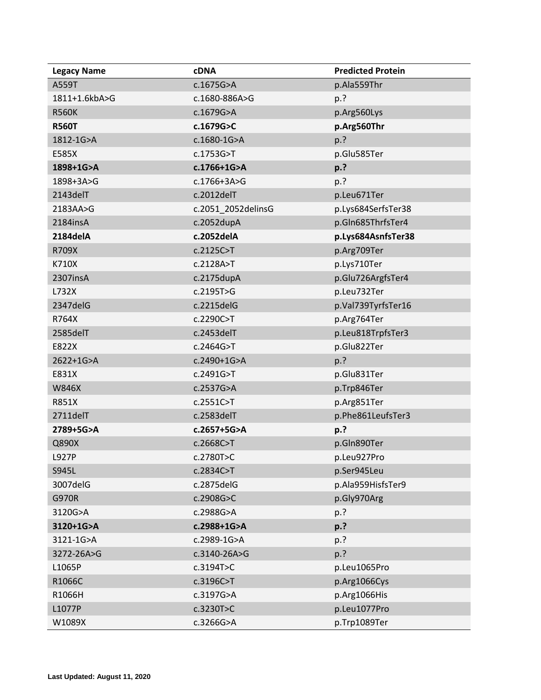| <b>Legacy Name</b> | <b>cDNA</b>        | <b>Predicted Protein</b> |
|--------------------|--------------------|--------------------------|
| A559T              | c.1675G>A          | p.Ala559Thr              |
| 1811+1.6kbA>G      | c.1680-886A>G      | p.?                      |
| <b>R560K</b>       | c.1679G>A          | p.Arg560Lys              |
| <b>R560T</b>       | c.1679G>C          | p.Arg560Thr              |
| 1812-1G>A          | c.1680-1G>A        | p.?                      |
| E585X              | c.1753G>T          | p.Glu585Ter              |
| 1898+1G>A          | c.1766+1G>A        | p.?                      |
| 1898+3A>G          | $c.1766 + 3A > G$  | p.?                      |
| 2143delT           | $c.2012$ delT      | p.Leu671Ter              |
| 2183AA>G           | c.2051_2052delinsG | p.Lys684SerfsTer38       |
| 2184insA           | $c.2052$ dupA      | p.Gln685ThrfsTer4        |
| 2184delA           | c.2052delA         | p.Lys684AsnfsTer38       |
| R709X              | c.2125C > T        | p.Arg709Ter              |
| K710X              | c.2128A > T        | p.Lys710Ter              |
| 2307insA           | $c.2175$ dupA      | p.Glu726ArgfsTer4        |
| L732X              | c.2195T>G          | p.Leu732Ter              |
| 2347delG           | c.2215delG         | p.Val739TyrfsTer16       |
| R764X              | c.2290C>T          | p.Arg764Ter              |
| 2585delT           | $c.2453$ delT      | p.Leu818TrpfsTer3        |
| E822X              | c.2464G > T        | p.Glu822Ter              |
| 2622+1G>A          | c.2490+1G>A        | p.?                      |
| E831X              | c.2491G>T          | p.Glu831Ter              |
| <b>W846X</b>       | c.2537G>A          | p.Trp846Ter              |
| <b>R851X</b>       | c.2551C > T        | p.Arg851Ter              |
| 2711delT           | $c.2583$ delT      | p.Phe861LeufsTer3        |
| 2789+5G>A          | c.2657+5G>A        | p.?                      |
| Q890X              | c.2668C>T          | p.Gln890Ter              |
| <b>L927P</b>       | c.2780T>C          | p.Leu927Pro              |
| S945L              | c.2834C>T          | p.Ser945Leu              |
| 3007delG           | c.2875delG         | p.Ala959HisfsTer9        |
| <b>G970R</b>       | c.2908G>C          | p.Gly970Arg              |
| 3120G>A            | c.2988G>A          | p.?                      |
| 3120+1G>A          | c.2988+1G>A        | p.?                      |
| 3121-1G>A          | c.2989-1G>A        | p.?                      |
| 3272-26A>G         | c.3140-26A>G       | p.?                      |
| L1065P             | c.3194T>C          | p.Leu1065Pro             |
| R1066C             | c.3196C > T        | p.Arg1066Cys             |
| R1066H             | c.3197G>A          | p.Arg1066His             |
| L1077P             | c.3230T > C        | p.Leu1077Pro             |
| W1089X             | c.3266G>A          | p.Trp1089Ter             |